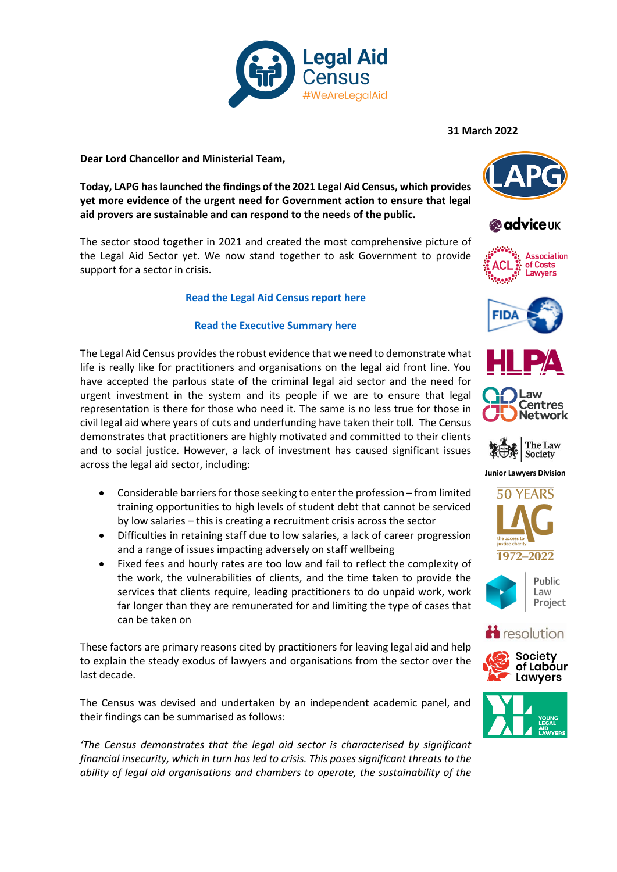

**Dear Lord Chancellor and Ministerial Team,** 

**Today, LAPG has launched the findings of the 2021 Legal Aid Census, which provides yet more evidence of the urgent need for Government action to ensure that legal aid provers are sustainable and can respond to the needs of the public.** 

The sector stood together in 2021 and created the most comprehensive picture of the Legal Aid Sector yet. We now stand together to ask Government to provide support for a sector in crisis.

## **[Read the Legal Aid Census report here](http://lapg.co.uk/wp-content/uploads/We-Are-Legal-Aid_Findings-from-the-2021-Legal-Aid-Census_Final.pdf)**

## **[Read the Executive Summary here](http://lapg.co.uk/wp-content/uploads/We-Are-Legal-Aid_Exec-Summary_Final.pdf)**

The Legal Aid Census provides the robust evidence that we need to demonstrate what life is really like for practitioners and organisations on the legal aid front line. You have accepted the parlous state of the criminal legal aid sector and the need for urgent investment in the system and its people if we are to ensure that legal representation is there for those who need it. The same is no less true for those in civil legal aid where years of cuts and underfunding have taken their toll. The Census demonstrates that practitioners are highly motivated and committed to their clients and to social justice. However, a lack of investment has caused significant issues across the legal aid sector, including:

- Considerable barriers for those seeking to enter the profession from limited training opportunities to high levels of student debt that cannot be serviced by low salaries – this is creating a recruitment crisis across the sector
- Difficulties in retaining staff due to low salaries, a lack of career progression and a range of issues impacting adversely on staff wellbeing
- Fixed fees and hourly rates are too low and fail to reflect the complexity of the work, the vulnerabilities of clients, and the time taken to provide the services that clients require, leading practitioners to do unpaid work, work far longer than they are remunerated for and limiting the type of cases that can be taken on

These factors are primary reasons cited by practitioners for leaving legal aid and help to explain the steady exodus of lawyers and organisations from the sector over the last decade.

The Census was devised and undertaken by an independent academic panel, and their findings can be summarised as follows:

*'The Census demonstrates that the legal aid sector is characterised by significant financial insecurity, which in turn has led to crisis. This poses significant threats to the ability of legal aid organisations and chambers to operate, the sustainability of the*

**31 March 2022**















**Junior Lawyers Division**









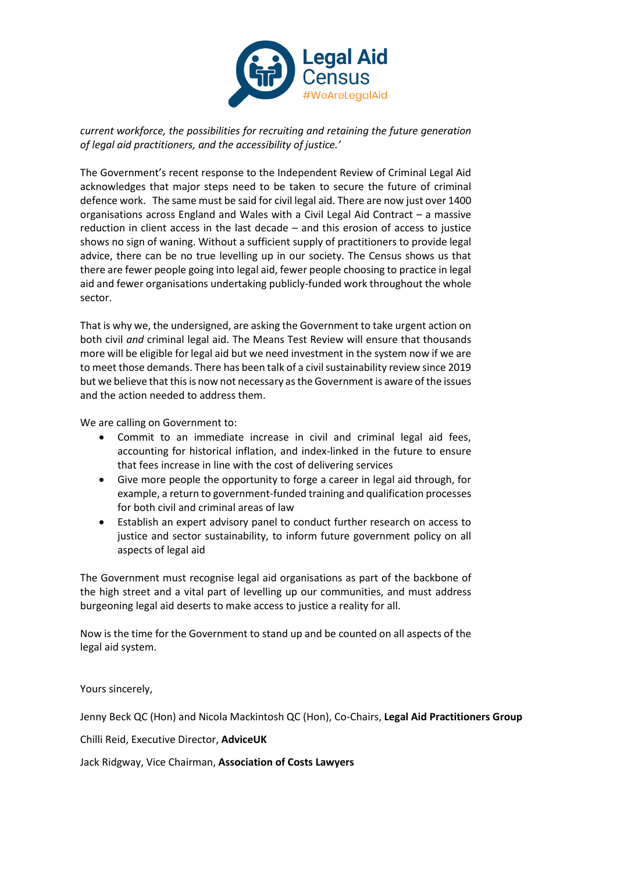

*current workforce, the possibilities for recruiting and retaining the future generation of legal aid practitioners, and the accessibility of justice.'*

The Government's recent response to the Independent Review of Criminal Legal Aid acknowledges that major steps need to be taken to secure the future of criminal defence work. The same must be said for civil legal aid. There are now just over 1400 organisations across England and Wales with a Civil Legal Aid Contract – a massive reduction in client access in the last decade – and this erosion of access to justice shows no sign of waning. Without a sufficient supply of practitioners to provide legal advice, there can be no true levelling up in our society. The Census shows us that there are fewer people going into legal aid, fewer people choosing to practice in legal aid and fewer organisations undertaking publicly-funded work throughout the whole sector.

That is why we, the undersigned, are asking the Government to take urgent action on both civil *and* criminal legal aid. The Means Test Review will ensure that thousands more will be eligible for legal aid but we need investment in the system now if we are to meet those demands. There has been talk of a civil sustainability review since 2019 but we believe that this is now not necessary as the Government is aware of the issues and the action needed to address them.

We are calling on Government to:

- Commit to an immediate increase in civil and criminal legal aid fees, accounting for historical inflation, and index-linked in the future to ensure that fees increase in line with the cost of delivering services
- Give more people the opportunity to forge a career in legal aid through, for example, a return to government-funded training and qualification processes for both civil and criminal areas of law
- Establish an expert advisory panel to conduct further research on access to justice and sector sustainability, to inform future government policy on all aspects of legal aid

The Government must recognise legal aid organisations as part of the backbone of the high street and a vital part of levelling up our communities, and must address burgeoning legal aid deserts to make access to justice a reality for all.

Now is the time for the Government to stand up and be counted on all aspects of the legal aid system.

Yours sincerely,

Jenny Beck QC (Hon) and Nicola Mackintosh QC (Hon), Co-Chairs, **Legal Aid Practitioners Group**

Chilli Reid, Executive Director, **AdviceUK**

Jack Ridgway, Vice Chairman, **Association of Costs Lawyers**